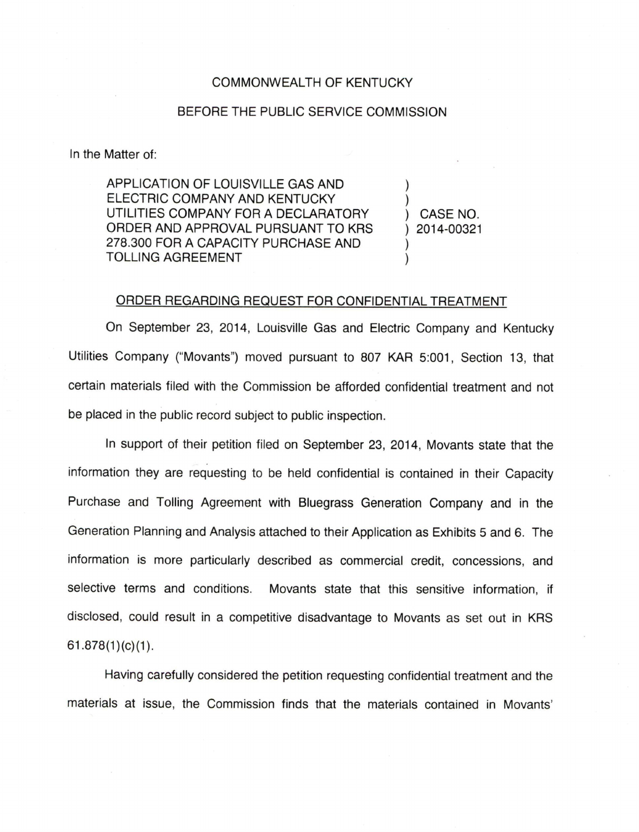## COMMONWEALTH OF KENTUCKY

## BEFORE THE PUBLIC SERVICE COMMISSION

In the Matter of:

APPLICATION OF LOUISVILLE GAS AND ELECTRIC COMPANY AND KENTUCKY UTILITIES COMPANY FOR A DECLARATORY ORDER AND APPROVAL PURSUANT TO KRS 278.300 FOR A CAPACITY PURCHASE AND TOLLING AGREEMENT

CASE NO. 2014-00321

 $\lambda$ 

 $\mathcal{L}$ 

## ORDER REGARDING REQUEST FOR CONFIDENTIAL TREATMENT

On September 23, 2014, Louisville Gas and Electric Company and Kentucky Utilities Company ("Movants") moved pursuant to 807 KAR 5:001, Section 13, that certain materials filed with the Commission be afforded confidential treatment and not be placed in the public record subject to public inspection.

In support of their petition filed on September 23, 2014, Movants state that the information they are requesting to be held confidential is contained in their Capacity Purchase and Tolling Agreement with Bluegrass Generation Company and in the Generation Planning and Analysis attached to their Application as Exhibits 5 and 6. The information is more particularly described as commercial credit, concessions, and selective terms and conditions. Movants state that this sensitive information, if disclosed, could result in a competitive disadvantage to Movants as set out in KRS  $61.878(1)(c)(1)$ .

Having carefully considered the petition requesting confidential treatment and the materials at issue, the Commission finds that the materials contained in Movants'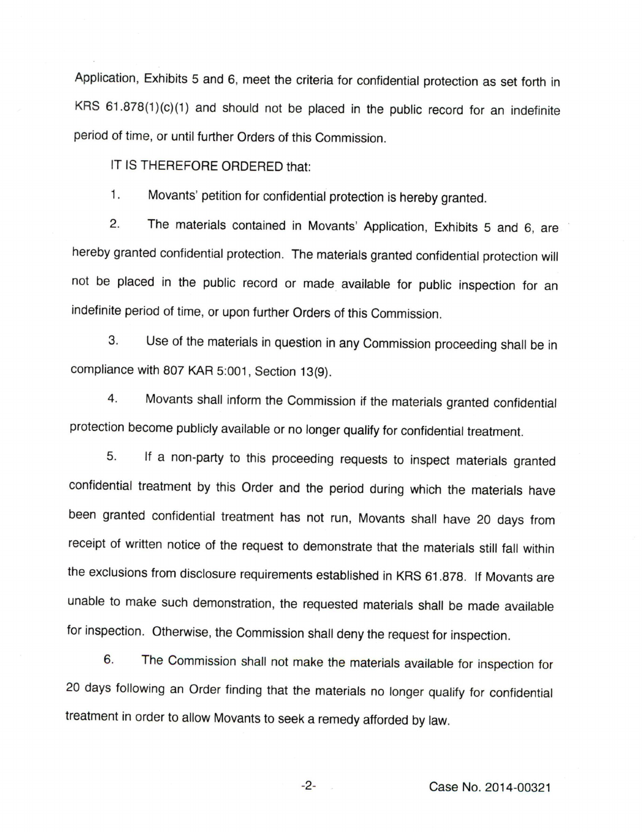Application, Exhibits 5 and 6, meet the criteria for confidential protection as set forth in KRS 61.878(1)(c)(1) and should not be placed in the public record for an indefinite period of time, or until further Orders of this Commission.

IT IS THEREFORE ORDERED that:

1. Movants' petition for confidential protection is hereby granted.

2. The materials contained in Movants' Application, Exhibits 5 and 6, are hereby granted confidential protection. The materials granted confidential protection will not be placed in the public record or made available for public inspection for an indefinite period of time, or upon further Orders of this Commission.

3. Use of the materials in question in any Commission proceeding shall be in compliance with 807 KAR 5:001, Section 13(9).

4. Movants shall inform the Commission if the materials granted confidential protection become publicly available or no longer qualify for confidential treatment.

5. If a non-party to this proceeding requests to inspect materials granted confidential treatment by this Order and the period during which the materials have been granted confidential treatment has not run, Movants shall have 20 days from receipt of written notice of the request to demonstrate that the materials still fall within the exclusions from disclosure requirements established in KRS 61.878. If Movants are unable to make such demonstration, the requested materials shall be made available for inspection. Otherwise, the Commission shall deny the request for inspection.

6. The Commission shall not make the materials available for inspection for 20 days following an Order finding that the materials no longer qualify for confidential treatment in order to allow Movants to seek a remedy afforded by law.

Case No. 2014-00321

 $-2-$ 

 $\bar{\omega}$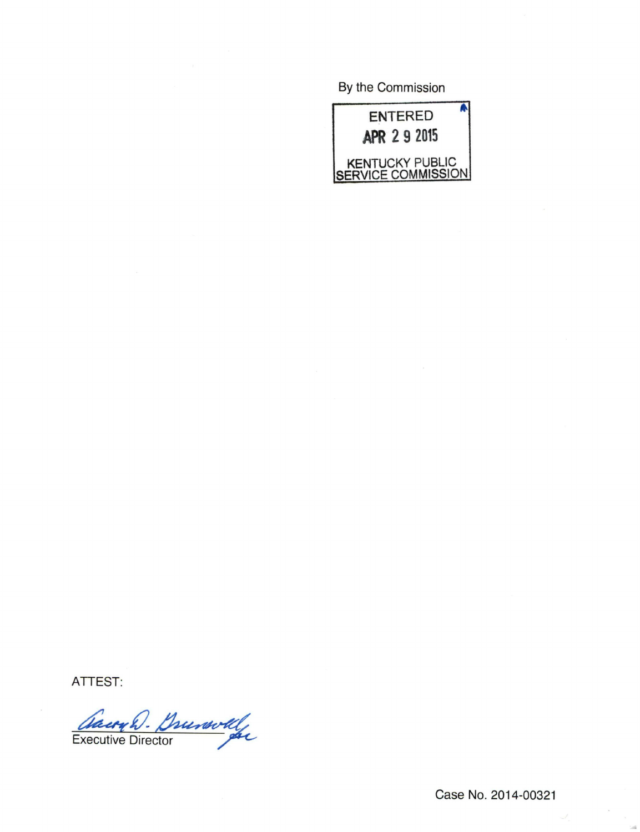By the Commission



ATTEST:

Cauryh. Douwolf

Case No. 2014-00321